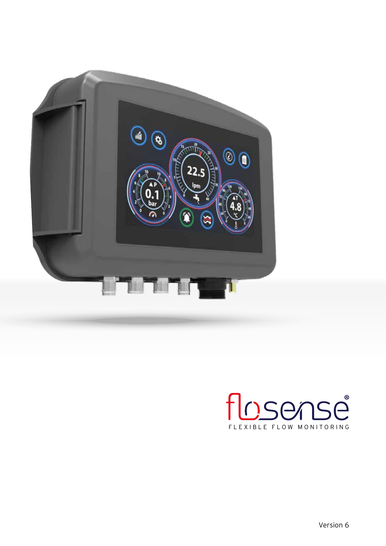

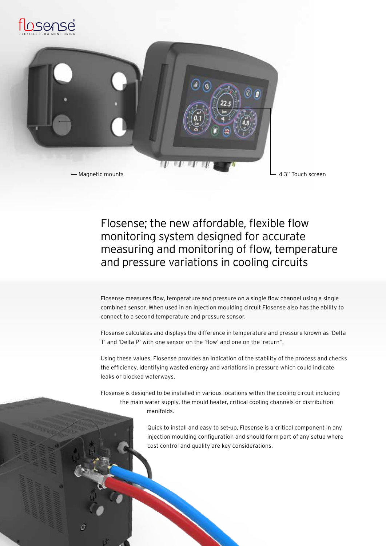

a

# Flosense; the new affordable, flexible flow monitoring system designed for accurate measuring and monitoring of flow, temperature and pressure variations in cooling circuits

Flosense measures flow, temperature and pressure on a single flow channel using a single combined sensor. When used in an injection moulding circuit Flosense also has the ability to connect to a second temperature and pressure sensor.

Flosense calculates and displays the difference in temperature and pressure known as 'Delta T' and 'Delta P' with one sensor on the 'flow' and one on the 'return''.

Using these values, Flosense provides an indication of the stability of the process and checks the efficiency, identifying wasted energy and variations in pressure which could indicate leaks or blocked waterways.

Flosense is designed to be installed in various locations within the cooling circuit including the main water supply, the mould heater, critical cooling channels or distribution manifolds.

> Quick to install and easy to set-up, Flosense is a critical component in any injection moulding configuration and should form part of any setup where cost control and quality are key considerations.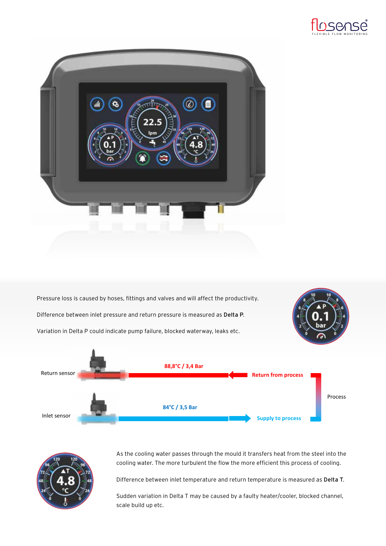



Pressure loss is caused by hoses, fittings and valves and will affect the productivity. Difference between inlet pressure and return pressure is measured as **Delta P.** Variation in Delta P could indicate pump failure, blocked waterway, leaks etc. Variation in Delta P could indicate pump failure, blocked waterway, leaks etc. **84°C / 3,5 Bar 88,8°C / 3,4 Bar** Return sensor Inlet sensor **Return from process Supply to process** Process



As the cooling water passes through the mould it transfers heat from the steel into the cooling water. The more turbulent the flow the more efficient this process of cooling.

Difference between inlet temperature and return temperature is measured as Delta T. erence pety

Sudden variation in Delta T may be caused by a faulty heater/cooler, blocked channel, scale build up etc.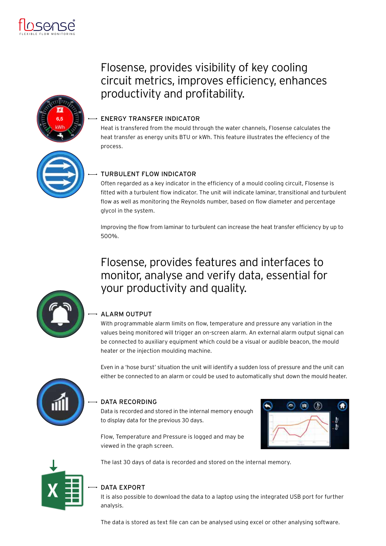



# Flosense, provides visibility of key cooling circuit metrics, improves efficiency, enhances productivity and profitability.

# ENERGY TRANSFER INDICATOR

Heat is transfered from the mould through the water channels, Flosense calculates the heat transfer as energy units BTU or kWh. This feature illustrates the effeciency of the process.

# TURBULENT FLOW INDICATOR

Often regarded as a key indicator in the efficiency of a mould cooling circuit, Flosense is fitted with a turbulent flow indicator. The unit will indicate laminar, transitional and turbulent flow as well as monitoring the Reynolds number, based on flow diameter and percentage glycol in the system.

Improving the flow from laminar to turbulent can increase the heat transfer efficiency by up to 500%.

# Flosense, provides features and interfaces to monitor, analyse and verify data, essential for your productivity and quality.



# ALARM OUTPUT

With programmable alarm limits on flow, temperature and pressure any variation in the values being monitored will trigger an on-screen alarm. An external alarm output signal can be connected to auxiliary equipment which could be a visual or audible beacon, the mould heater or the injection moulding machine.

Even in a 'hose burst' situation the unit will identify a sudden loss of pressure and the unit can either be connected to an alarm or could be used to automatically shut down the mould heater.



# DATA RECORDING

Data is recorded and stored in the internal memory enough to display data for the previous 30 days.



Flow, Temperature and Pressure is logged and may be viewed in the graph screen.



# The last 30 days of data is recorded and stored on the internal memory.

# DATA EXPORT

It is also possible to download the data to a laptop using the integrated USB port for further analysis.

The data is stored as text file can can be analysed using excel or other analysing software.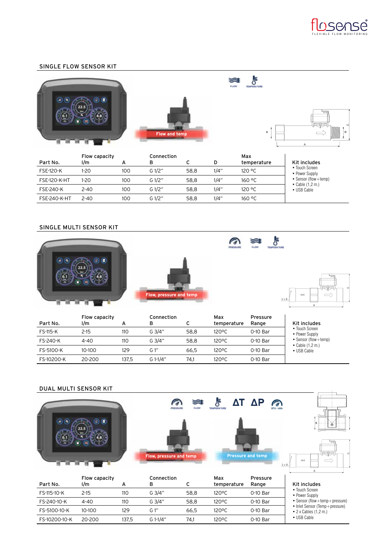

#### SINGLE FLOW SENSOR KIT

|               | ≋<br>FLOW<br>TEMPERATURE |                        |
|---------------|--------------------------|------------------------|
|               |                          |                        |
| Flow and temp | в                        | <b>IGENT</b><br>D<br>Α |

|                     | Flow capacity |     | Connection |      |      | Max         |                                                    |
|---------------------|---------------|-----|------------|------|------|-------------|----------------------------------------------------|
| Part No.            | l/m           |     | в          |      | D    | temperature | Kit includes                                       |
| <b>FSE-120-K</b>    | 1-20          | 100 | G 1/2"     | 58.8 | 1/4" | 120 °C      | • Touch Screen<br>• Power Supply                   |
| <b>FSE-120-K-HT</b> | 1-20          | 100 | G 1/2"     | 58.8 | 1/4" | 160 °C      | • Sensor (flow + temp)<br>$\bullet$ Cable (1,2 m.) |
| <b>FSE-240-K</b>    | $2 - 40$      | 100 | G 1/2"     | 58.8 | 1/4" | 120 °C      | • USB Cable                                        |
| <b>FSE-240-K-HT</b> | $2 - 40$      | 100 | G 1/2"     | 58.8 | 1/4" | 160 °C      |                                                    |

#### SINGLE MULTI SENSOR KIT



|            | Flow capacity |       | Connection |      | Max         | Pressure |                                             |
|------------|---------------|-------|------------|------|-------------|----------|---------------------------------------------|
| Part No.   | l/m           | А     | в          | ◡    | temperature | Range    | Kit includes                                |
| FS-115-K   | 2-15          | 110   | $G$ 3/4"   | 58.8 | 120°C       | 0-10 Bar | • Touch Screen<br>• Power Supply            |
| FS-240-K   | $4 - 40$      | 110   | G $3/4"$   | 58.8 | 120°C       | 0-10 Bar | • Sensor (flow+temp)<br>• Cable $(1, 2, m)$ |
| FS-5100-K  | 10-100        | 129   | G 1"       | 66.5 | 120°C       | 0-10 Bar | • USB Cable                                 |
| FS-10200-K | 20-200        | 137.5 | $G 1-1/4"$ | 74.1 | 120°C       | 0-10 Bar |                                             |

#### DUAL MULTI SENSOR KIT

|              | DUAL MULII SLNSUR NII<br>۰ |     | Flow, pressure and temp | ☞<br><b>FLOW</b> | ΔT.<br>冔<br><b>TEMPERATURE</b> | $\Delta P$<br><b>Pressure and temp</b> | <b>BTU-MW</b><br>$\circ$<br>180<br>$2 \times B$                 |
|--------------|----------------------------|-----|-------------------------|------------------|--------------------------------|----------------------------------------|-----------------------------------------------------------------|
| Part No.     | Flow capacity<br>l/m       | A   | Connection<br>в         | с                | Max<br>temperature             | Pressure<br>Range                      | Kit includes                                                    |
| FS-115-10-K  | $2 - 15$                   | 110 | G 3/4"                  | 58,8             | 120°C                          | 0-10 Bar                               | • Touch Screen<br>• Power Supply                                |
| FS-240-10-K  | $4 - 40$                   | 110 | G 3/4"                  | 58,8             | 120°C                          | 0-10 Bar                               | • Sensor (flow + temp + pressure)                               |
| FS-5100-10-K | 10-100                     | 129 | $G1$ "                  | 66,5             | 120°C                          | 0-10 Bar                               | • Inlet Sensor (Temp+pressure)<br>$\bullet$ 2 x Cables (1,2 m.) |

FS-10200-10-K 20-200 137,5 G 1-1/4" 74,1 120ºC 0-10 Bar

• USB Cable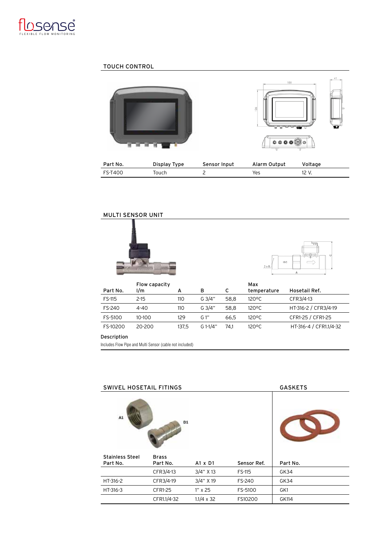

#### TOUCH CONTROL



| Part No. | Display Type | Sensor Input | Alarm Output | Voltage |
|----------|--------------|--------------|--------------|---------|
| FS-T400  | Touch        |              | Yes          | 12 V.   |

# MULTI SENSOR UNIT





|          | Flow capacity |       |          |      | Max                |                        |
|----------|---------------|-------|----------|------|--------------------|------------------------|
| Part No. | l/m           | А     | в        | с    | temperature        | Hosetail Ref.          |
| FS-115   | $2 - 15$      | 110   | $G$ 3/4" | 58.8 | 120 <sup>o</sup> C | CFR3/4-13              |
| FS-240   | 4-40          | 110   | $G$ 3/4" | 58.8 | 120 <sup>o</sup> C | HT-316-2 / CFR3/4-19   |
| FS-5100  | 10-100        | 129   | G 1"     | 66.5 | 120°C              | CFR1-25 / CFR1-25      |
| FS-10200 | 20-200        | 137.5 | G 1-1/4" | 74.1 | $120^{\circ}$ C    | HT-316-4 / CFR1.1/4-32 |

#### Description

Includes Flow Pipe and Multi Sensor (cable not included)

| <b>SWIVEL HOSETAIL FITINGS</b> | <b>GASKETS</b> |                   |               |          |
|--------------------------------|----------------|-------------------|---------------|----------|
| A1                             | D1             |                   |               |          |
| <b>Stainless Steel</b>         | <b>Brass</b>   |                   |               |          |
| Part No.                       | Part No.       | $A1 \times D1$    | Sensor Ref.   | Part No. |
|                                | CFR3/4-13      | 3/4" X 13         | <b>FS-115</b> | GK34     |
| HT-316-2                       | CFR3/4-19      | 3/4" X 19         | FS-240        | GK34     |
| HT-316-3                       | <b>CFR1-25</b> | $1'' \times 25$   | FS-5100       | GK1      |
|                                | CFR1.1/4-32    | $1.1/4 \times 32$ | FS10200       | GK114    |
|                                |                |                   |               |          |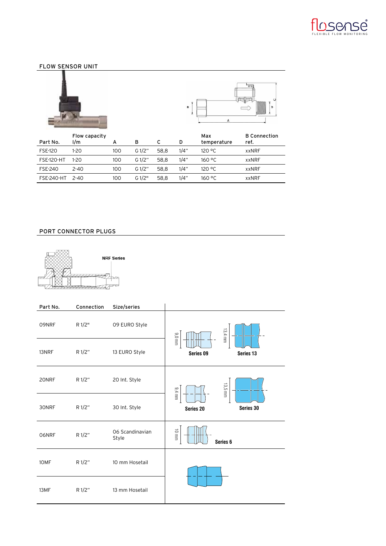

# FLOW SENSOR UNIT





| Part No.          | Flow capacity<br>1/m | А   | в         |      | D    | Max<br>temperature | <b>B</b> Connection<br>ref. |
|-------------------|----------------------|-----|-----------|------|------|--------------------|-----------------------------|
| <b>FSE-120</b>    | 1-20                 | 100 | G $1/2$ " | 58.8 | 1/4" | 120 °C             | xxNRF                       |
| <b>FSE-120-HT</b> | 1-20                 | 100 | G $1/2$ " | 58.8 | 1/4" | 160 °C             | <b>xxNRF</b>                |
| <b>FSE-240</b>    | $2 - 40$             | 100 | G $1/2$ " | 58.8 | 1/4" | 120 °C             | <b>xxNRF</b>                |
| FSE-240-HT        | $2 - 40$             | 100 | G1/2"     | 58.8 | 1/4" | 160 °C             | <b>xxNRF</b>                |

# PORT CONNECTOR PLUGS



| Part No. | Connection | Size/series              |                              |
|----------|------------|--------------------------|------------------------------|
| 09NRF    | R 1/2"     | 09 EURO Style            | $13.4$ mm<br>$9.0$ mm        |
| 13NRF    | R 1/2"     | 13 EURO Style            | Series 09<br>Series 13       |
| 20NRF    | R 1/2"     | 20 Int. Style            | 13,5 mm<br>$9.4$ mm          |
| 30NRF    | R 1/2"     | 30 Int. Style            | Series 30<br>Series 20       |
| 06NRF    | R 1/2"     | 06 Scandinavian<br>Style | 10 mm<br>Series <sub>6</sub> |
| 10MF     | R 1/2"     | 10 mm Hosetail           |                              |
| 13MF     | R 1/2"     | 13 mm Hosetail           |                              |